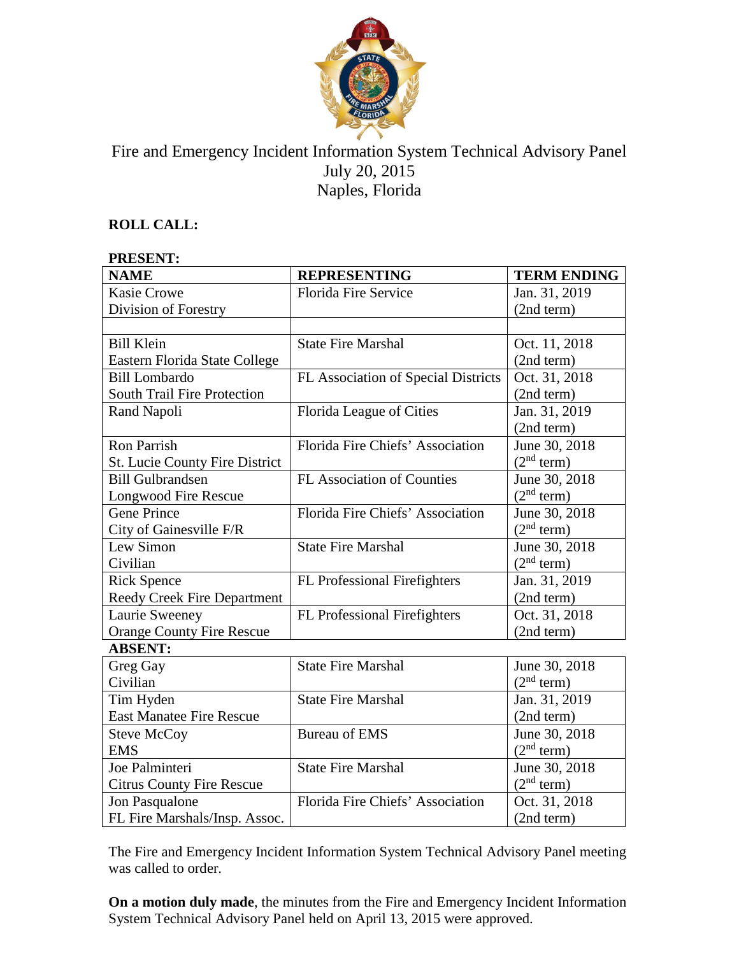

# Fire and Emergency Incident Information System Technical Advisory Panel July 20, 2015 Naples, Florida

# **ROLL CALL:**

#### **PRESENT:**

| <b>NAME</b>                           | <b>REPRESENTING</b>                 | <b>TERM ENDING</b>     |
|---------------------------------------|-------------------------------------|------------------------|
| <b>Kasie Crowe</b>                    | <b>Florida Fire Service</b>         | Jan. 31, 2019          |
| Division of Forestry                  |                                     | (2nd term)             |
|                                       |                                     |                        |
| <b>Bill Klein</b>                     | <b>State Fire Marshal</b>           | Oct. 11, 2018          |
| Eastern Florida State College         |                                     | (2nd term)             |
| <b>Bill Lombardo</b>                  | FL Association of Special Districts | Oct. 31, 2018          |
| South Trail Fire Protection           |                                     | (2nd term)             |
| Rand Napoli                           | Florida League of Cities            | Jan. 31, 2019          |
|                                       |                                     | (2nd term)             |
| <b>Ron Parrish</b>                    | Florida Fire Chiefs' Association    | June 30, 2018          |
| <b>St. Lucie County Fire District</b> |                                     | (2 <sup>nd</sup> term) |
| <b>Bill Gulbrandsen</b>               | FL Association of Counties          | June 30, 2018          |
| Longwood Fire Rescue                  |                                     | (2 <sup>nd</sup> term) |
| <b>Gene Prince</b>                    | Florida Fire Chiefs' Association    | June 30, 2018          |
| City of Gainesville F/R               |                                     | (2 <sup>nd</sup> term) |
| Lew Simon                             | <b>State Fire Marshal</b>           | June 30, 2018          |
| Civilian                              |                                     | (2 <sup>nd</sup> term) |
| <b>Rick Spence</b>                    | FL Professional Firefighters        | Jan. 31, 2019          |
| <b>Reedy Creek Fire Department</b>    |                                     | (2nd term)             |
| Laurie Sweeney                        | FL Professional Firefighters        | Oct. 31, 2018          |
| <b>Orange County Fire Rescue</b>      |                                     | (2nd term)             |
| <b>ABSENT:</b>                        |                                     |                        |
| Greg Gay                              | <b>State Fire Marshal</b>           | June 30, 2018          |
| Civilian                              |                                     | (2 <sup>nd</sup> term) |
| Tim Hyden                             | <b>State Fire Marshal</b>           | Jan. 31, 2019          |
| <b>East Manatee Fire Rescue</b>       |                                     | (2nd term)             |
| <b>Steve McCoy</b>                    | <b>Bureau of EMS</b>                | June 30, 2018          |
| <b>EMS</b>                            |                                     | (2 <sup>nd</sup> term) |
| Joe Palminteri                        | <b>State Fire Marshal</b>           | June 30, 2018          |
| <b>Citrus County Fire Rescue</b>      |                                     | (2 <sup>nd</sup> term) |
| Jon Pasqualone                        | Florida Fire Chiefs' Association    | Oct. 31, 2018          |
| FL Fire Marshals/Insp. Assoc.         |                                     | (2nd term)             |

The Fire and Emergency Incident Information System Technical Advisory Panel meeting was called to order.

**On a motion duly made**, the minutes from the Fire and Emergency Incident Information System Technical Advisory Panel held on April 13, 2015 were approved.